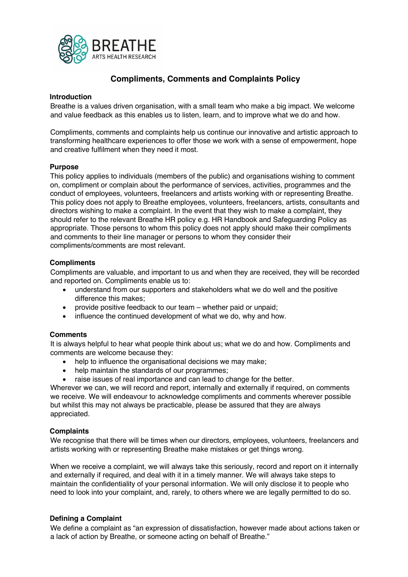

# **Compliments, Comments and Complaints Policy**

### **Introduction**

Breathe is a values driven organisation, with a small team who make a big impact. We welcome and value feedback as this enables us to listen, learn, and to improve what we do and how.

Compliments, comments and complaints help us continue our innovative and artistic approach to transforming healthcare experiences to offer those we work with a sense of empowerment, hope and creative fulfilment when they need it most.

#### **Purpose**

This policy applies to individuals (members of the public) and organisations wishing to comment on, compliment or complain about the performance of services, activities, programmes and the conduct of employees, volunteers, freelancers and artists working with or representing Breathe. This policy does not apply to Breathe employees, volunteers, freelancers, artists, consultants and directors wishing to make a complaint. In the event that they wish to make a complaint, they should refer to the relevant Breathe HR policy e.g. HR Handbook and Safeguarding Policy as appropriate. Those persons to whom this policy does not apply should make their compliments and comments to their line manager or persons to whom they consider their compliments/comments are most relevant.

#### **Compliments**

Compliments are valuable, and important to us and when they are received, they will be recorded and reported on. Compliments enable us to:

- understand from our supporters and stakeholders what we do well and the positive difference this makes;
- provide positive feedback to our team whether paid or unpaid;
- influence the continued development of what we do, why and how.

### **Comments**

It is always helpful to hear what people think about us; what we do and how. Compliments and comments are welcome because they:

- help to influence the organisational decisions we may make;
- help maintain the standards of our programmes;
- raise issues of real importance and can lead to change for the better.

Wherever we can, we will record and report, internally and externally if required, on comments we receive. We will endeavour to acknowledge compliments and comments wherever possible but whilst this may not always be practicable, please be assured that they are always appreciated.

### **Complaints**

We recognise that there will be times when our directors, employees, volunteers, freelancers and artists working with or representing Breathe make mistakes or get things wrong.

When we receive a complaint, we will always take this seriously, record and report on it internally and externally if required, and deal with it in a timely manner. We will always take steps to maintain the confidentiality of your personal information. We will only disclose it to people who need to look into your complaint, and, rarely, to others where we are legally permitted to do so.

### **Defining a Complaint**

We define a complaint as "an expression of dissatisfaction, however made about actions taken or a lack of action by Breathe, or someone acting on behalf of Breathe."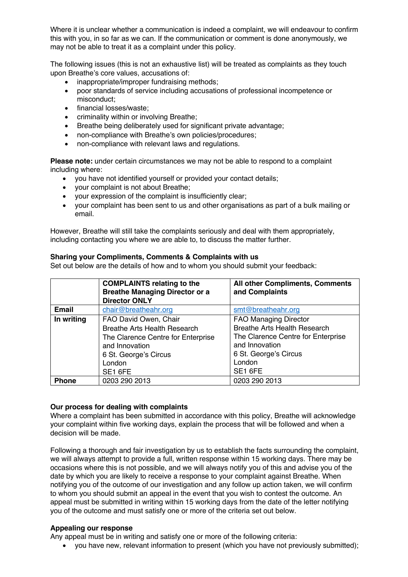Where it is unclear whether a communication is indeed a complaint, we will endeavour to confirm this with you, in so far as we can. If the communication or comment is done anonymously, we may not be able to treat it as a complaint under this policy.

The following issues (this is not an exhaustive list) will be treated as complaints as they touch upon Breathe's core values, accusations of:

- inappropriate/improper fundraising methods;
- poor standards of service including accusations of professional incompetence or misconduct;
- financial losses/waste;
- criminality within or involving Breathe;
- Breathe being deliberately used for significant private advantage;
- non-compliance with Breathe's own policies/procedures:
- non-compliance with relevant laws and regulations.

**Please note:** under certain circumstances we may not be able to respond to a complaint including where:

- you have not identified yourself or provided your contact details;
- your complaint is not about Breathe;
- your expression of the complaint is insufficiently clear;
- your complaint has been sent to us and other organisations as part of a bulk mailing or email.

However, Breathe will still take the complaints seriously and deal with them appropriately, including contacting you where we are able to, to discuss the matter further.

# **Sharing your Compliments, Comments & Complaints with us**

Set out below are the details of how and to whom you should submit your feedback:

|              | <b>COMPLAINTS relating to the</b><br><b>Breathe Managing Director or a</b><br><b>Director ONLY</b>                                                          | All other Compliments, Comments<br>and Complaints                                                                                                                         |
|--------------|-------------------------------------------------------------------------------------------------------------------------------------------------------------|---------------------------------------------------------------------------------------------------------------------------------------------------------------------------|
| <b>Email</b> | chair@breatheahr.org                                                                                                                                        | smt@breatheahr.org                                                                                                                                                        |
| In writing   | FAO David Owen, Chair<br>Breathe Arts Health Research<br>The Clarence Centre for Enterprise<br>and Innovation<br>6 St. George's Circus<br>London<br>SE1 6FE | <b>FAO Managing Director</b><br><b>Breathe Arts Health Research</b><br>The Clarence Centre for Enterprise<br>and Innovation<br>6 St. George's Circus<br>London<br>SE1 6FE |
| <b>Phone</b> | 0203 290 2013                                                                                                                                               | 0203 290 2013                                                                                                                                                             |

# **Our process for dealing with complaints**

Where a complaint has been submitted in accordance with this policy, Breathe will acknowledge your complaint within five working days, explain the process that will be followed and when a decision will be made.

Following a thorough and fair investigation by us to establish the facts surrounding the complaint, we will always attempt to provide a full, written response within 15 working days. There may be occasions where this is not possible, and we will always notify you of this and advise you of the date by which you are likely to receive a response to your complaint against Breathe. When notifying you of the outcome of our investigation and any follow up action taken, we will confirm to whom you should submit an appeal in the event that you wish to contest the outcome. An appeal must be submitted in writing within 15 working days from the date of the letter notifying you of the outcome and must satisfy one or more of the criteria set out below.

# **Appealing our response**

Any appeal must be in writing and satisfy one or more of the following criteria:

• you have new, relevant information to present (which you have not previously submitted);